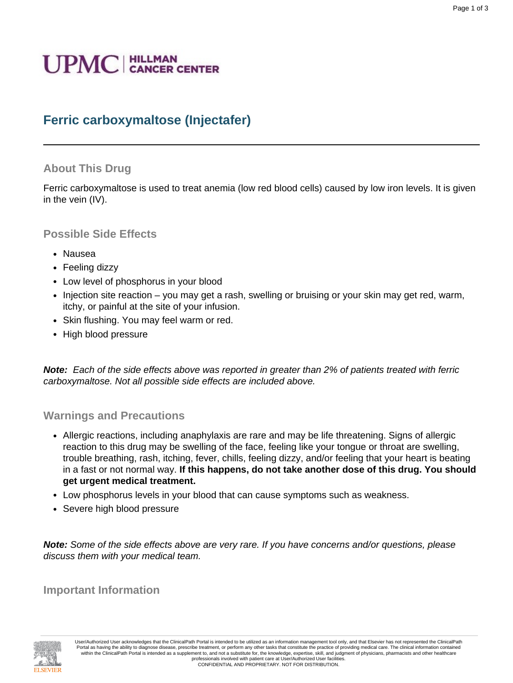# **UPMC** | HILLMAN

## **Ferric carboxymaltose (Injectafer)**

#### **About This Drug**

Ferric carboxymaltose is used to treat anemia (low red blood cells) caused by low iron levels. It is given in the vein (IV).

#### **Possible Side Effects**

- Nausea
- Feeling dizzy
- Low level of phosphorus in your blood
- Injection site reaction you may get a rash, swelling or bruising or your skin may get red, warm, itchy, or painful at the site of your infusion.
- Skin flushing. You may feel warm or red.
- High blood pressure

**Note:** Each of the side effects above was reported in greater than 2% of patients treated with ferric carboxymaltose. Not all possible side effects are included above.

#### **Warnings and Precautions**

- Allergic reactions, including anaphylaxis are rare and may be life threatening. Signs of allergic reaction to this drug may be swelling of the face, feeling like your tongue or throat are swelling, trouble breathing, rash, itching, fever, chills, feeling dizzy, and/or feeling that your heart is beating in a fast or not normal way. **If this happens, do not take another dose of this drug. You should get urgent medical treatment.**
- Low phosphorus levels in your blood that can cause symptoms such as weakness.
- Severe high blood pressure

**Note:** Some of the side effects above are very rare. If you have concerns and/or questions, please discuss them with your medical team.

**Important Information**

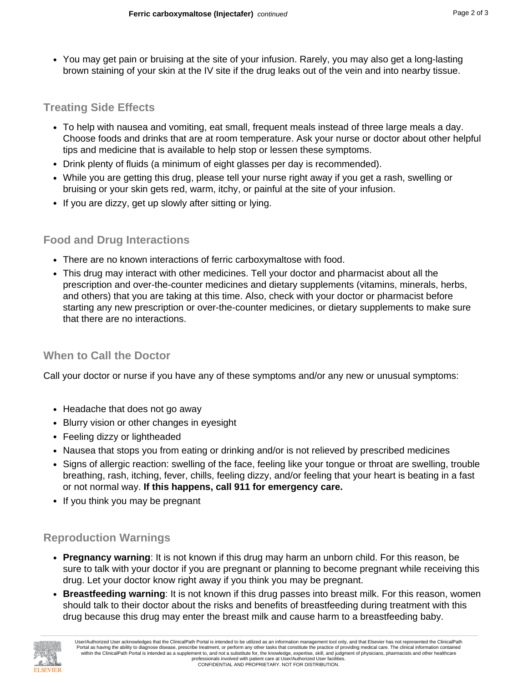• You may get pain or bruising at the site of your infusion. Rarely, you may also get a long-lasting brown staining of your skin at the IV site if the drug leaks out of the vein and into nearby tissue.

### **Treating Side Effects**

- To help with nausea and vomiting, eat small, frequent meals instead of three large meals a day. Choose foods and drinks that are at room temperature. Ask your nurse or doctor about other helpful tips and medicine that is available to help stop or lessen these symptoms.
- Drink plenty of fluids (a minimum of eight glasses per day is recommended).
- While you are getting this drug, please tell your nurse right away if you get a rash, swelling or bruising or your skin gets red, warm, itchy, or painful at the site of your infusion.
- If you are dizzy, get up slowly after sitting or lying.

#### **Food and Drug Interactions**

- There are no known interactions of ferric carboxymaltose with food.
- This drug may interact with other medicines. Tell your doctor and pharmacist about all the prescription and over-the-counter medicines and dietary supplements (vitamins, minerals, herbs, and others) that you are taking at this time. Also, check with your doctor or pharmacist before starting any new prescription or over-the-counter medicines, or dietary supplements to make sure that there are no interactions.

#### **When to Call the Doctor**

Call your doctor or nurse if you have any of these symptoms and/or any new or unusual symptoms:

- Headache that does not go away
- Blurry vision or other changes in eyesight
- Feeling dizzy or lightheaded
- Nausea that stops you from eating or drinking and/or is not relieved by prescribed medicines
- Signs of allergic reaction: swelling of the face, feeling like your tongue or throat are swelling, trouble breathing, rash, itching, fever, chills, feeling dizzy, and/or feeling that your heart is beating in a fast or not normal way. **If this happens, call 911 for emergency care.**
- If you think you may be pregnant

#### **Reproduction Warnings**

- **Pregnancy warning**: It is not known if this drug may harm an unborn child. For this reason, be sure to talk with your doctor if you are pregnant or planning to become pregnant while receiving this drug. Let your doctor know right away if you think you may be pregnant.
- **Breastfeeding warning**: It is not known if this drug passes into breast milk. For this reason, women should talk to their doctor about the risks and benefits of breastfeeding during treatment with this drug because this drug may enter the breast milk and cause harm to a breastfeeding baby.